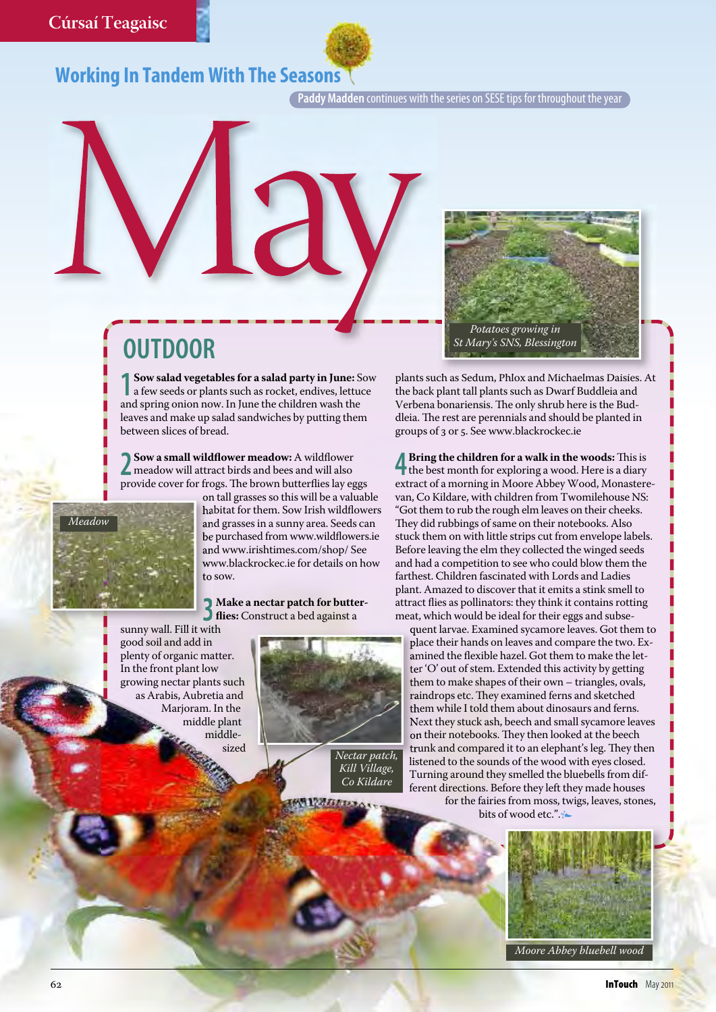## **Working In Tandem With The Seasons**

**Paddy Madden** continues with the series on SESE tips for throughout the year

## **OUTDOOR**

**1 Sow salad vegetables for a salad party in June:** Sow a few seeds or plants such as rocket, endives, lettuce and spring onion now. in June the children wash the leaves and make up salad sandwiches by putting them between slices of bread.

**2Sow a small wildflower meadow:** A wildflower meadow will attract birds and bees and will also provide cover for frogs. The brown butterflies lay eggs



on tall grasses so this will be a valuable habitat for them. Sow Irish wildflowers and grasses in a sunny area. Seeds can be purchased from www.wildflowers.ie and www.irishtimes.com/shop/ see www.blackrockec.ie for details on how to sow.

**3Make a nectar patch for butter-flies:** Construct a bed against a

sunny wall. Fill it with good soil and add in plenty of organic matter. In the front plant low growing nectar plants such as Arabis, Aubretia and Marioram. In the middle plant middlesized





plants such as sedum, Phlox and Michaelmas Daisies. At the back plant tall plants such as Dwarf Buddleia and Verbena bonariensis. The only shrub here is the Buddleia. The rest are perennials and should be planted in groups of 3 or 5. See www.blackrockec.ie

**4 A** Bring the children for a walk in the woods: This is the best month for exploring a wood. Here is a diary extract of a morning in Moore Abbey Wood, Monasterevan, Co Kildare, with children from Twomilehouse Ns: "Got them to rub the rough elm leaves on their cheeks. They did rubbings of same on their notebooks. Also stuck them on with little strips cut from envelope labels. Before leaving the elm they collected the winged seeds and had a competition to see who could blow them the farthest. Children fascinated with Lords and Ladies plant. Amazed to discover that it emits a stink smell to attract flies as pollinators: they think it contains rotting meat, which would be ideal for their eggs and subse-

quent larvae. Examined sycamore leaves. Got them to place their hands on leaves and compare the two. Examined the flexible hazel. Got them to make the letter 'O' out of stem. Extended this activity by getting them to make shapes of their own – triangles, ovals, raindrops etc. They examined ferns and sketched them while I told them about dinosaurs and ferns. Next they stuck ash, beech and small sycamore leaves on their notebooks. They then looked at the beech trunk and compared it to an elephant's leg. They then listened to the sounds of the wood with eyes closed. Turning around they smelled the bluebells from different directions. Before they left they made houses for the fairies from moss, twigs, leaves, stones,

bits of wood etc.".**t**



Moore Abbey bluebell wood